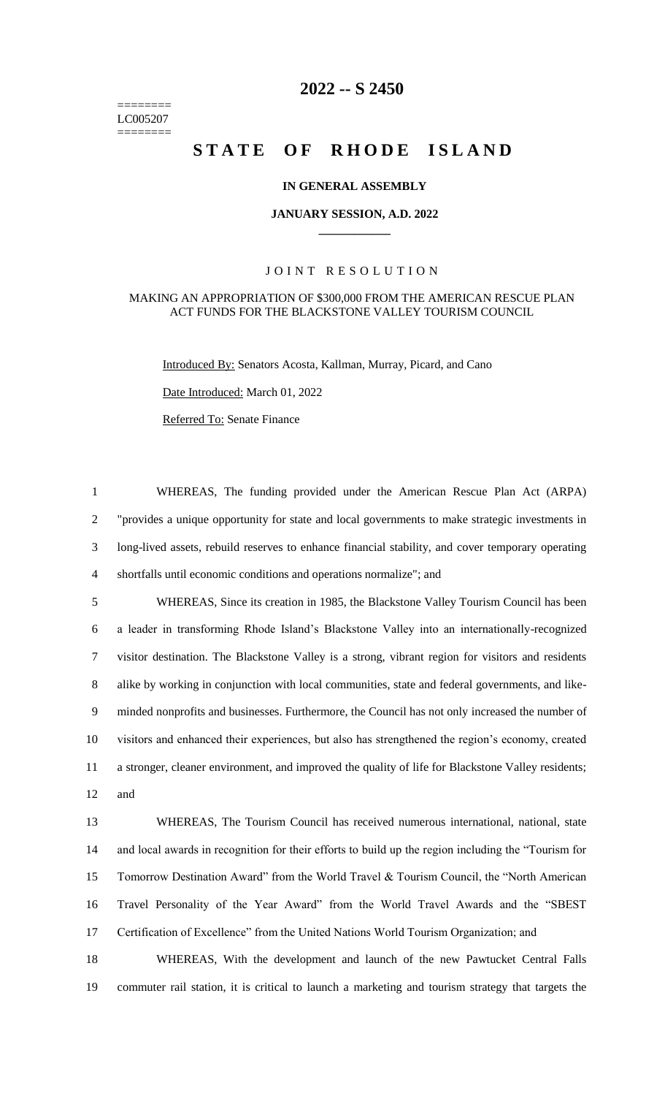======== LC005207 ========

# **-- S 2450**

# **STATE OF RHODE ISLAND**

### **IN GENERAL ASSEMBLY**

#### **JANUARY SESSION, A.D. 2022 \_\_\_\_\_\_\_\_\_\_\_\_**

## JOINT RESOLUTION

#### MAKING AN APPROPRIATION OF \$300,000 FROM THE AMERICAN RESCUE PLAN ACT FUNDS FOR THE BLACKSTONE VALLEY TOURISM COUNCIL

Introduced By: Senators Acosta, Kallman, Murray, Picard, and Cano

Date Introduced: March 01, 2022

Referred To: Senate Finance

 WHEREAS, The funding provided under the American Rescue Plan Act (ARPA) "provides a unique opportunity for state and local governments to make strategic investments in long-lived assets, rebuild reserves to enhance financial stability, and cover temporary operating shortfalls until economic conditions and operations normalize"; and

 WHEREAS, Since its creation in 1985, the Blackstone Valley Tourism Council has been a leader in transforming Rhode Island's Blackstone Valley into an internationally-recognized visitor destination. The Blackstone Valley is a strong, vibrant region for visitors and residents alike by working in conjunction with local communities, state and federal governments, and like- minded nonprofits and businesses. Furthermore, the Council has not only increased the number of visitors and enhanced their experiences, but also has strengthened the region's economy, created a stronger, cleaner environment, and improved the quality of life for Blackstone Valley residents; and

 WHEREAS, The Tourism Council has received numerous international, national, state and local awards in recognition for their efforts to build up the region including the "Tourism for Tomorrow Destination Award" from the World Travel & Tourism Council, the "North American Travel Personality of the Year Award" from the World Travel Awards and the "SBEST Certification of Excellence" from the United Nations World Tourism Organization; and

 WHEREAS, With the development and launch of the new Pawtucket Central Falls commuter rail station, it is critical to launch a marketing and tourism strategy that targets the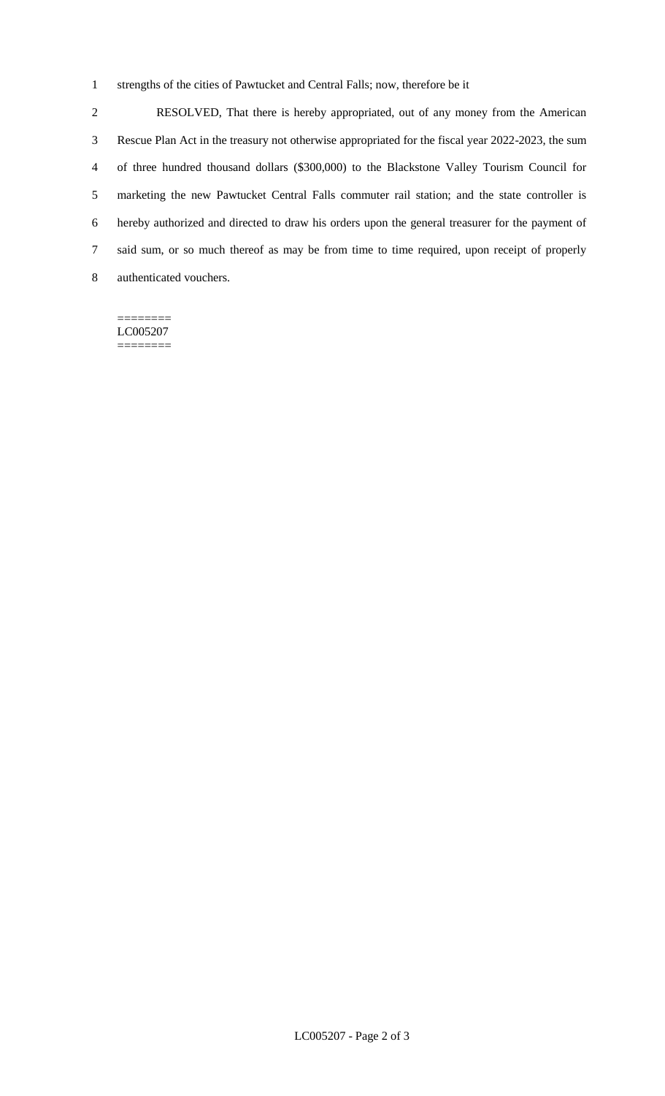strengths of the cities of Pawtucket and Central Falls; now, therefore be it

 RESOLVED, That there is hereby appropriated, out of any money from the American Rescue Plan Act in the treasury not otherwise appropriated for the fiscal year 2022-2023, the sum of three hundred thousand dollars (\$300,000) to the Blackstone Valley Tourism Council for marketing the new Pawtucket Central Falls commuter rail station; and the state controller is hereby authorized and directed to draw his orders upon the general treasurer for the payment of said sum, or so much thereof as may be from time to time required, upon receipt of properly authenticated vouchers.

======== LC005207 ========